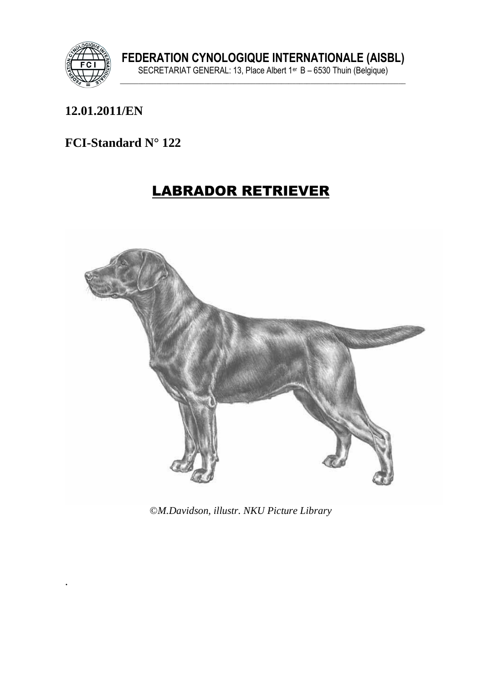

.

# **12.01.2011/EN**

#### **FCI-Standard N° 122**

# LABRADOR RETRIEVER



©*M.Davidson, illustr. NKU Picture Library*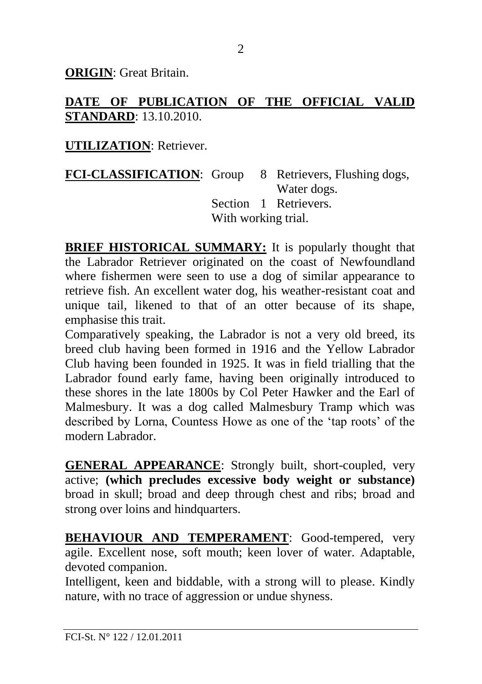**ORIGIN**: Great Britain.

## **DATE OF PUBLICATION OF THE OFFICIAL VALID STANDARD**: 13.10.2010.

#### **UTILIZATION**: Retriever.

**FCI-CLASSIFICATION**: Group 8 Retrievers, Flushing dogs, Water dogs. Section 1 Retrievers. With working trial.

**BRIEF HISTORICAL SUMMARY:** It is popularly thought that the Labrador Retriever originated on the coast of Newfoundland where fishermen were seen to use a dog of similar appearance to retrieve fish. An excellent water dog, his weather-resistant coat and unique tail, likened to that of an otter because of its shape, emphasise this trait.

Comparatively speaking, the Labrador is not a very old breed, its breed club having been formed in 1916 and the Yellow Labrador Club having been founded in 1925. It was in field trialling that the Labrador found early fame, having been originally introduced to these shores in the late 1800s by Col Peter Hawker and the Earl of Malmesbury. It was a dog called Malmesbury Tramp which was described by Lorna, Countess Howe as one of the 'tap roots' of the modern Labrador.

**GENERAL APPEARANCE**: Strongly built, short-coupled, very active; **(which precludes excessive body weight or substance)** broad in skull; broad and deep through chest and ribs; broad and strong over loins and hindquarters.

**BEHAVIOUR AND TEMPERAMENT**: Good-tempered, very agile. Excellent nose, soft mouth; keen lover of water. Adaptable, devoted companion.

Intelligent, keen and biddable, with a strong will to please. Kindly nature, with no trace of aggression or undue shyness.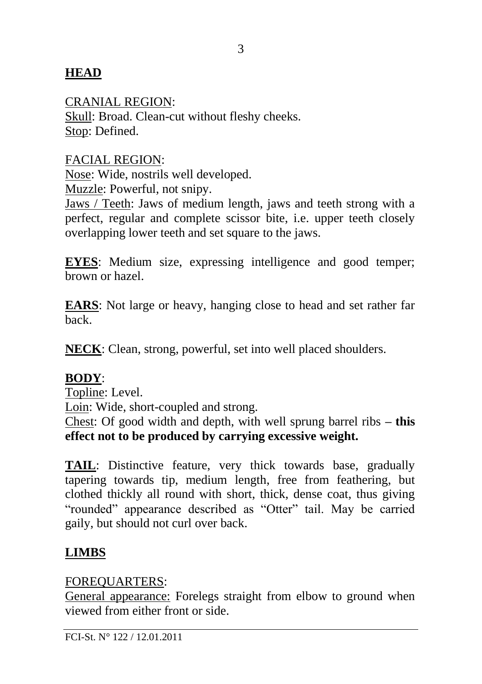#### **HEAD**

CRANIAL REGION:

Skull: Broad. Clean-cut without fleshy cheeks. Stop: Defined.

FACIAL REGION:

Nose: Wide, nostrils well developed.

Muzzle: Powerful, not snipy.

Jaws / Teeth: Jaws of medium length, jaws and teeth strong with a perfect, regular and complete scissor bite, i.e. upper teeth closely overlapping lower teeth and set square to the jaws.

**EYES**: Medium size, expressing intelligence and good temper; brown or hazel.

**EARS**: Not large or heavy, hanging close to head and set rather far back.

**NECK**: Clean, strong, powerful, set into well placed shoulders.

#### **BODY**:

Topline: Level.

Loin: Wide, short-coupled and strong.

Chest: Of good width and depth, with well sprung barrel ribs **– this effect not to be produced by carrying excessive weight.**

**TAIL**: Distinctive feature, very thick towards base, gradually tapering towards tip, medium length, free from feathering, but clothed thickly all round with short, thick, dense coat, thus giving "rounded" appearance described as "Otter" tail. May be carried gaily, but should not curl over back.

## **LIMBS**

#### FOREQUARTERS:

General appearance: Forelegs straight from elbow to ground when viewed from either front or side.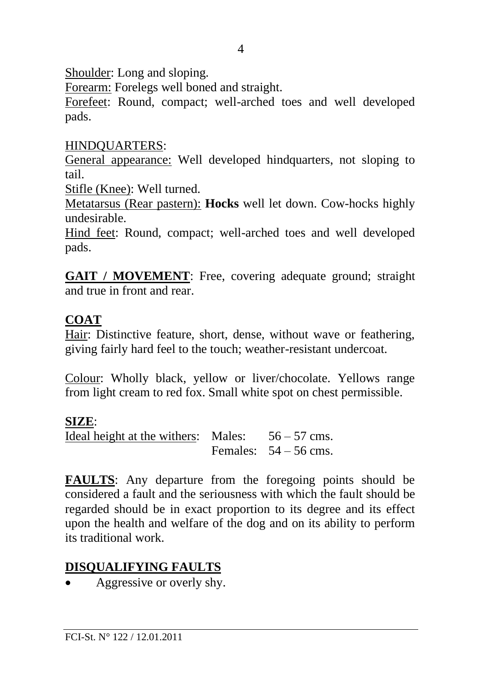Shoulder: Long and sloping.

Forearm: Forelegs well boned and straight.

Forefeet: Round, compact; well-arched toes and well developed pads.

#### HINDQUARTERS:

General appearance: Well developed hindquarters, not sloping to tail.

Stifle (Knee): Well turned.

Metatarsus (Rear pastern): **Hocks** well let down. Cow-hocks highly undesirable.

Hind feet: Round, compact; well-arched toes and well developed pads.

**GAIT / MOVEMENT:** Free, covering adequate ground; straight and true in front and rear.

## **COAT**

Hair: Distinctive feature, short, dense, without wave or feathering, giving fairly hard feel to the touch; weather-resistant undercoat.

Colour: Wholly black, yellow or liver/chocolate. Yellows range from light cream to red fox. Small white spot on chest permissible.

## **SIZE**:

Ideal height at the withers: Males:  $56 - 57$  cms. Females:  $54 - 56$  cms.

**FAULTS**: Any departure from the foregoing points should be considered a fault and the seriousness with which the fault should be regarded should be in exact proportion to its degree and its effect upon the health and welfare of the dog and on its ability to perform its traditional work.

## **DISQUALIFYING FAULTS**

• Aggressive or overly shy.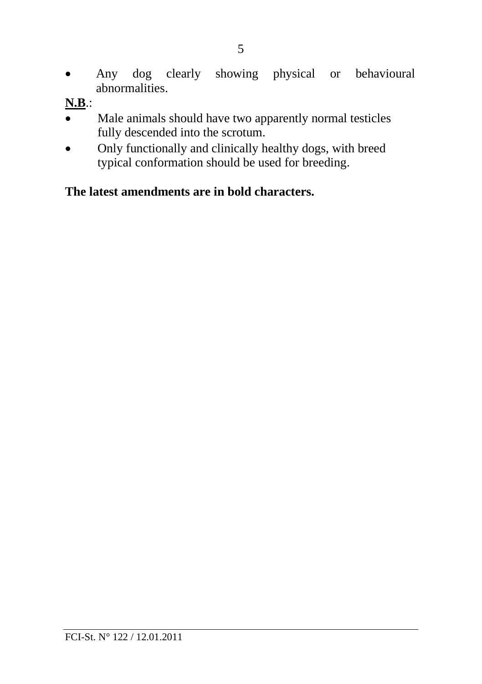- 5
- Any dog clearly showing physical or behavioural abnormalities.
- **N.B**.:
- Male animals should have two apparently normal testicles fully descended into the scrotum.
- Only functionally and clinically healthy dogs, with breed typical conformation should be used for breeding.

# **The latest amendments are in bold characters.**